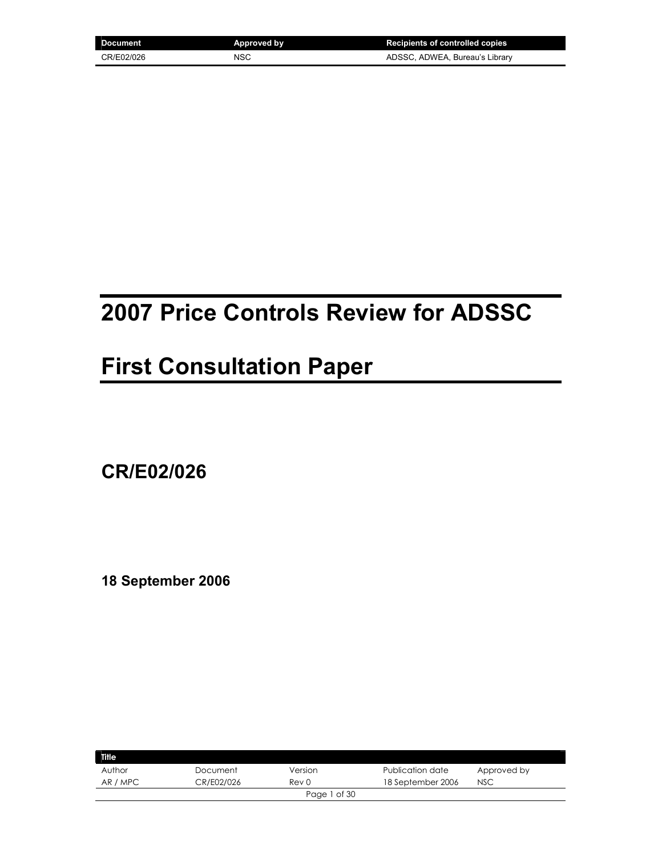| Document   | <b>Approved by</b> | <b>Recipients of controlled copies</b> |
|------------|--------------------|----------------------------------------|
| CR/E02/026 | NSC                | ADSSC, ADWEA, Bureau's Library         |

# **2007 Price Controls Review for ADSSC**

# **First Consultation Paper**

**CR/E02/026** 

**18 September 2006** 

| <b>Title</b> |            |              |                   |             |
|--------------|------------|--------------|-------------------|-------------|
| Author       | Document   | Version      | Publication date  | Approved by |
| AR / MPC     | CR/E02/026 | Rev 0        | 18 September 2006 | <b>NSC</b>  |
|              |            | Page 1 of 30 |                   |             |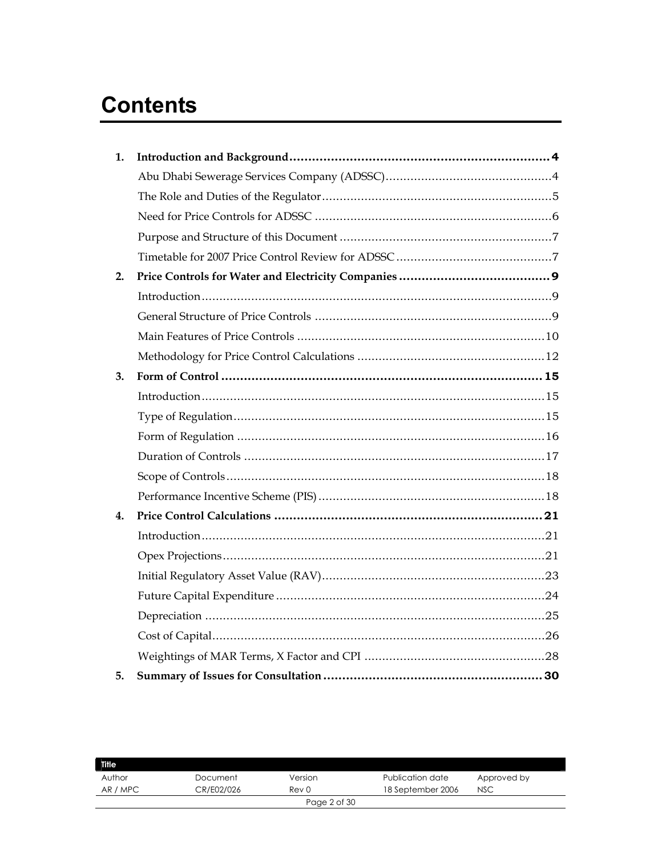# **Contents**

| 1. |  |
|----|--|
|    |  |
|    |  |
|    |  |
|    |  |
|    |  |
| 2. |  |
|    |  |
|    |  |
|    |  |
|    |  |
| 3. |  |
|    |  |
|    |  |
|    |  |
|    |  |
|    |  |
|    |  |
| 4. |  |
|    |  |
|    |  |
|    |  |
|    |  |
|    |  |
|    |  |
|    |  |
| 5. |  |

| <b>Title</b> |            |                  |                   |             |
|--------------|------------|------------------|-------------------|-------------|
| Author       | Document   | Version          | Publication date  | Approved by |
| AR / MPC     | CR/E02/026 | Rev <sub>0</sub> | 18 September 2006 | <b>NSC</b>  |
|              |            | Page 2 of 30     |                   |             |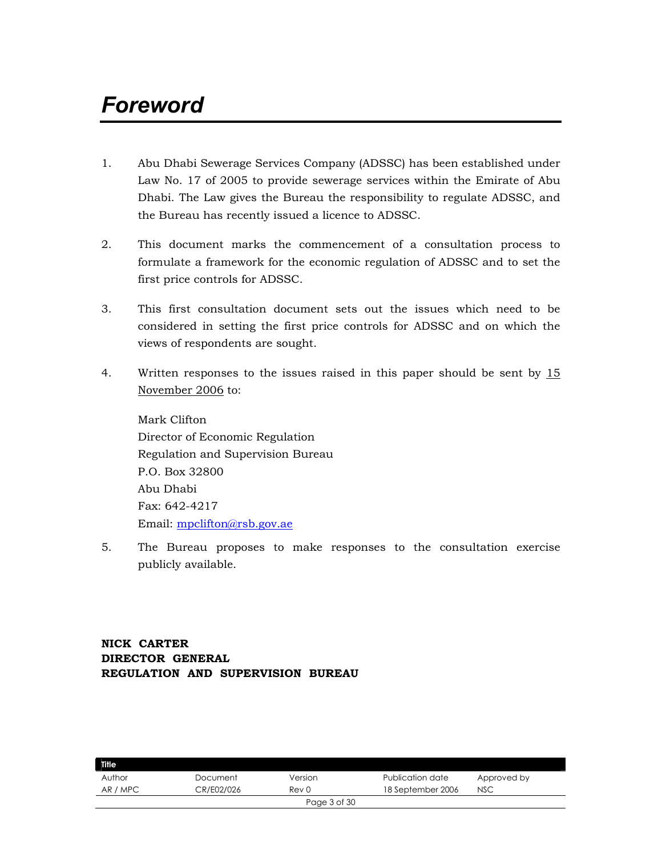# *Foreword*

- 1. Abu Dhabi Sewerage Services Company (ADSSC) has been established under Law No. 17 of 2005 to provide sewerage services within the Emirate of Abu Dhabi. The Law gives the Bureau the responsibility to regulate ADSSC, and the Bureau has recently issued a licence to ADSSC.
- 2. This document marks the commencement of a consultation process to formulate a framework for the economic regulation of ADSSC and to set the first price controls for ADSSC.
- 3. This first consultation document sets out the issues which need to be considered in setting the first price controls for ADSSC and on which the views of respondents are sought.
- 4. Written responses to the issues raised in this paper should be sent by 15 November 2006 to:

Mark Clifton Director of Economic Regulation Regulation and Supervision Bureau P.O. Box 32800 Abu Dhabi Fax: 642-4217 Email: mpclifton@rsb.gov.ae

5. The Bureau proposes to make responses to the consultation exercise publicly available.

# **NICK CARTER DIRECTOR GENERAL REGULATION AND SUPERVISION BUREAU**

| <b>Title</b> |            |              |                   |             |  |
|--------------|------------|--------------|-------------------|-------------|--|
| Author       | Document   | Version      | Publication date  | Approved by |  |
| AR / MPC     | CR/E02/026 | Rev 0        | 18 September 2006 | <b>NSC</b>  |  |
|              |            | Page 3 of 30 |                   |             |  |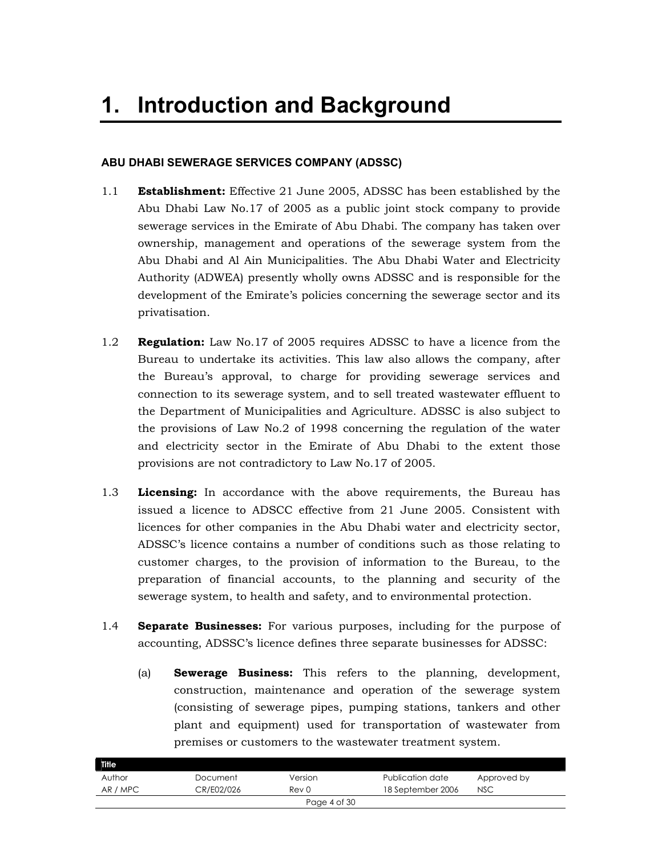### **ABU DHABI SEWERAGE SERVICES COMPANY (ADSSC)**

- 1.1 **Establishment:** Effective 21 June 2005, ADSSC has been established by the Abu Dhabi Law No.17 of 2005 as a public joint stock company to provide sewerage services in the Emirate of Abu Dhabi. The company has taken over ownership, management and operations of the sewerage system from the Abu Dhabi and Al Ain Municipalities. The Abu Dhabi Water and Electricity Authority (ADWEA) presently wholly owns ADSSC and is responsible for the development of the Emirate's policies concerning the sewerage sector and its privatisation.
- 1.2 **Regulation:** Law No.17 of 2005 requires ADSSC to have a licence from the Bureau to undertake its activities. This law also allows the company, after the Bureau's approval, to charge for providing sewerage services and connection to its sewerage system, and to sell treated wastewater effluent to the Department of Municipalities and Agriculture. ADSSC is also subject to the provisions of Law No.2 of 1998 concerning the regulation of the water and electricity sector in the Emirate of Abu Dhabi to the extent those provisions are not contradictory to Law No.17 of 2005.
- 1.3 **Licensing:** In accordance with the above requirements, the Bureau has issued a licence to ADSCC effective from 21 June 2005. Consistent with licences for other companies in the Abu Dhabi water and electricity sector, ADSSC's licence contains a number of conditions such as those relating to customer charges, to the provision of information to the Bureau, to the preparation of financial accounts, to the planning and security of the sewerage system, to health and safety, and to environmental protection.
- 1.4 **Separate Businesses:** For various purposes, including for the purpose of accounting, ADSSC's licence defines three separate businesses for ADSSC:
	- (a) **Sewerage Business:** This refers to the planning, development, construction, maintenance and operation of the sewerage system (consisting of sewerage pipes, pumping stations, tankers and other plant and equipment) used for transportation of wastewater from premises or customers to the wastewater treatment system.

| Title    |            |              |                   |             |  |
|----------|------------|--------------|-------------------|-------------|--|
| Author   | Document   | Version      | Publication date  | Approved by |  |
| AR / MPC | CR/E02/026 | Rev 0        | 18 September 2006 | <b>NSC</b>  |  |
|          |            | Page 4 of 30 |                   |             |  |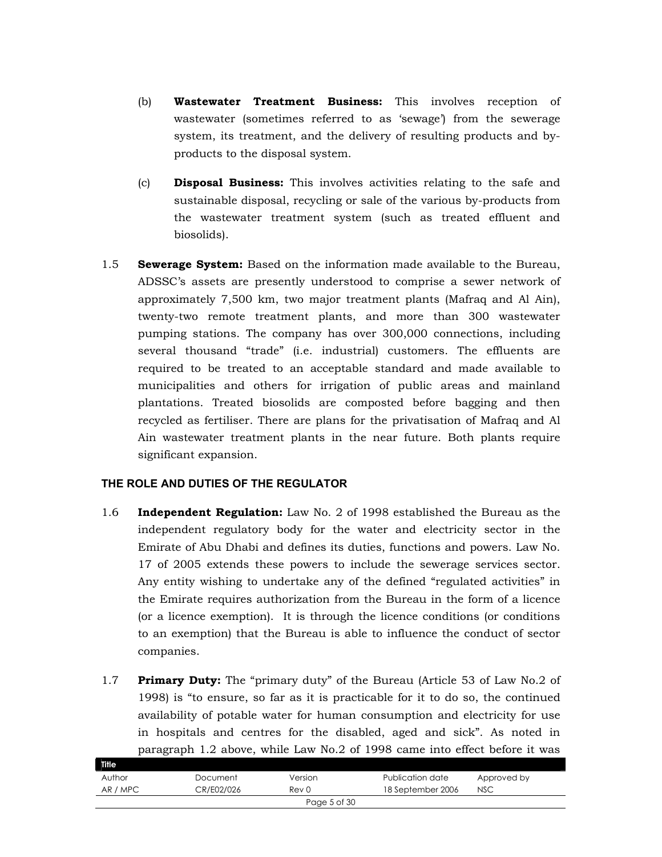- (b) **Wastewater Treatment Business:** This involves reception of wastewater (sometimes referred to as 'sewage') from the sewerage system, its treatment, and the delivery of resulting products and byproducts to the disposal system.
- (c) **Disposal Business:** This involves activities relating to the safe and sustainable disposal, recycling or sale of the various by-products from the wastewater treatment system (such as treated effluent and biosolids).
- 1.5 **Sewerage System:** Based on the information made available to the Bureau, ADSSC's assets are presently understood to comprise a sewer network of approximately 7,500 km, two major treatment plants (Mafraq and Al Ain), twenty-two remote treatment plants, and more than 300 wastewater pumping stations. The company has over 300,000 connections, including several thousand "trade" (i.e. industrial) customers. The effluents are required to be treated to an acceptable standard and made available to municipalities and others for irrigation of public areas and mainland plantations. Treated biosolids are composted before bagging and then recycled as fertiliser. There are plans for the privatisation of Mafraq and Al Ain wastewater treatment plants in the near future. Both plants require significant expansion.

# **THE ROLE AND DUTIES OF THE REGULATOR**

- 1.6 **Independent Regulation:** Law No. 2 of 1998 established the Bureau as the independent regulatory body for the water and electricity sector in the Emirate of Abu Dhabi and defines its duties, functions and powers. Law No. 17 of 2005 extends these powers to include the sewerage services sector. Any entity wishing to undertake any of the defined "regulated activities" in the Emirate requires authorization from the Bureau in the form of a licence (or a licence exemption). It is through the licence conditions (or conditions to an exemption) that the Bureau is able to influence the conduct of sector companies.
- 1.7 **Primary Duty:** The "primary duty" of the Bureau (Article 53 of Law No.2 of 1998) is "to ensure, so far as it is practicable for it to do so, the continued availability of potable water for human consumption and electricity for use in hospitals and centres for the disabled, aged and sick". As noted in paragraph 1.2 above, while Law No.2 of 1998 came into effect before it was

| Title    |            |              |                   |             |  |
|----------|------------|--------------|-------------------|-------------|--|
| Author   | Document   | Version      | Publication date  | Approved by |  |
| AR / MPC | CR/E02/026 | Rev 0        | 18 September 2006 | <b>NSC</b>  |  |
|          |            | Page 5 of 30 |                   |             |  |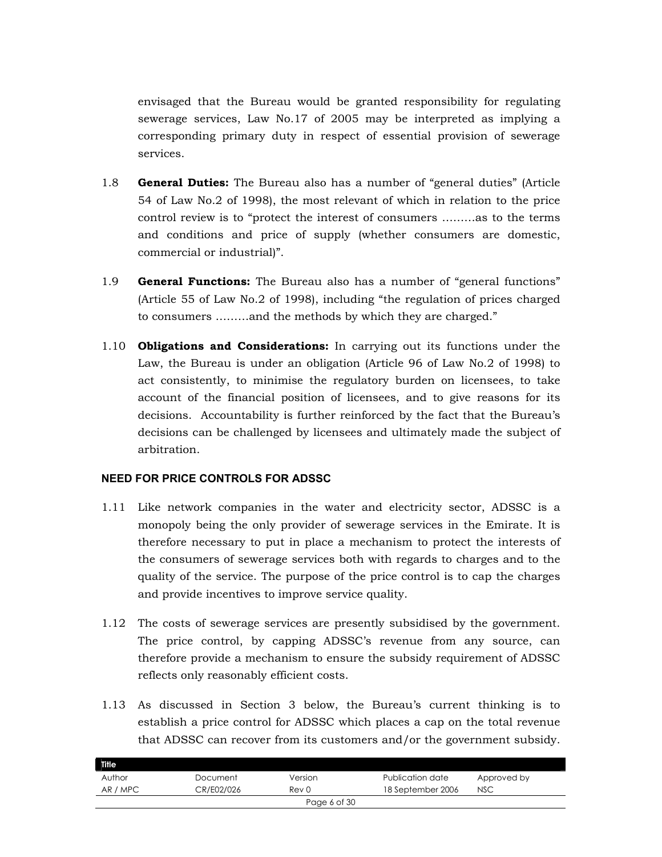envisaged that the Bureau would be granted responsibility for regulating sewerage services, Law No.17 of 2005 may be interpreted as implying a corresponding primary duty in respect of essential provision of sewerage services.

- 1.8 **General Duties:** The Bureau also has a number of "general duties" (Article 54 of Law No.2 of 1998), the most relevant of which in relation to the price control review is to "protect the interest of consumers ………as to the terms and conditions and price of supply (whether consumers are domestic, commercial or industrial)".
- 1.9 **General Functions:** The Bureau also has a number of "general functions" (Article 55 of Law No.2 of 1998), including "the regulation of prices charged to consumers ………and the methods by which they are charged."
- 1.10 **Obligations and Considerations:** In carrying out its functions under the Law, the Bureau is under an obligation (Article 96 of Law No.2 of 1998) to act consistently, to minimise the regulatory burden on licensees, to take account of the financial position of licensees, and to give reasons for its decisions. Accountability is further reinforced by the fact that the Bureau's decisions can be challenged by licensees and ultimately made the subject of arbitration.

#### **NEED FOR PRICE CONTROLS FOR ADSSC**

- 1.11 Like network companies in the water and electricity sector, ADSSC is a monopoly being the only provider of sewerage services in the Emirate. It is therefore necessary to put in place a mechanism to protect the interests of the consumers of sewerage services both with regards to charges and to the quality of the service. The purpose of the price control is to cap the charges and provide incentives to improve service quality.
- 1.12 The costs of sewerage services are presently subsidised by the government. The price control, by capping ADSSC's revenue from any source, can therefore provide a mechanism to ensure the subsidy requirement of ADSSC reflects only reasonably efficient costs.
- 1.13 As discussed in Section 3 below, the Bureau's current thinking is to establish a price control for ADSSC which places a cap on the total revenue that ADSSC can recover from its customers and/or the government subsidy.

| <b>Title</b> |            |              |                   |             |
|--------------|------------|--------------|-------------------|-------------|
| Author       | Document   | Version      | Publication date  | Approved by |
| AR / MPC     | CR/E02/026 | Rev 0        | 18 September 2006 | <b>NSC</b>  |
|              |            | Page 6 of 30 |                   |             |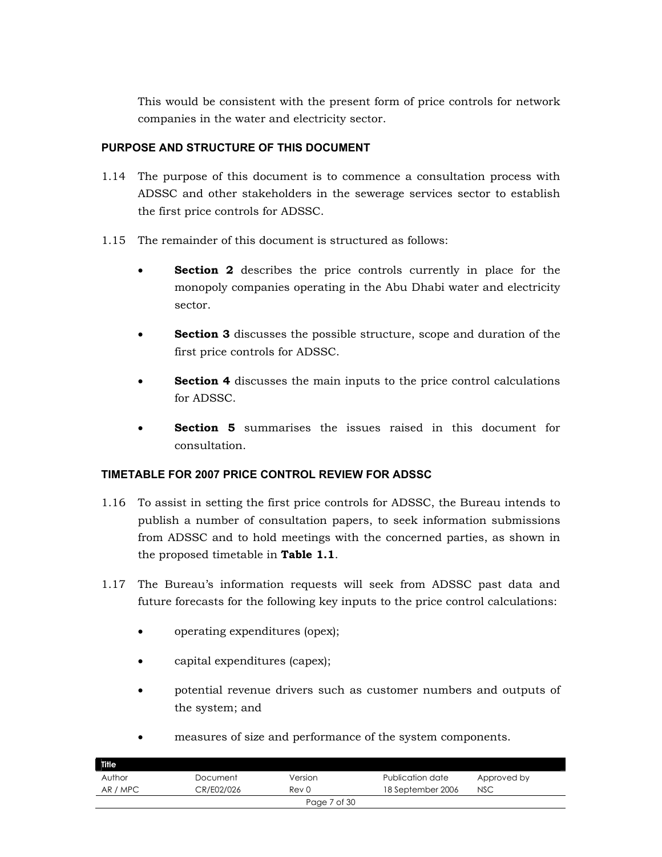This would be consistent with the present form of price controls for network companies in the water and electricity sector.

# **PURPOSE AND STRUCTURE OF THIS DOCUMENT**

- 1.14 The purpose of this document is to commence a consultation process with ADSSC and other stakeholders in the sewerage services sector to establish the first price controls for ADSSC.
- 1.15 The remainder of this document is structured as follows:
	- **Section 2** describes the price controls currently in place for the monopoly companies operating in the Abu Dhabi water and electricity sector.
	- **Section 3** discusses the possible structure, scope and duration of the first price controls for ADSSC.
	- **Section 4** discusses the main inputs to the price control calculations for ADSSC.
	- **Section 5** summarises the issues raised in this document for consultation.

# **TIMETABLE FOR 2007 PRICE CONTROL REVIEW FOR ADSSC**

- 1.16 To assist in setting the first price controls for ADSSC, the Bureau intends to publish a number of consultation papers, to seek information submissions from ADSSC and to hold meetings with the concerned parties, as shown in the proposed timetable in **Table 1.1**.
- 1.17 The Bureau's information requests will seek from ADSSC past data and future forecasts for the following key inputs to the price control calculations:
	- operating expenditures (opex);
	- capital expenditures (capex);
	- potential revenue drivers such as customer numbers and outputs of the system; and
	- measures of size and performance of the system components.

| Title    |            |                  |                   |             |
|----------|------------|------------------|-------------------|-------------|
| Author   | Document   | Version          | Publication date  | Approved by |
| AR / MPC | CR/E02/026 | Rev <sub>0</sub> | 18 September 2006 | <b>NSC</b>  |
|          |            | Page 7 of 30     |                   |             |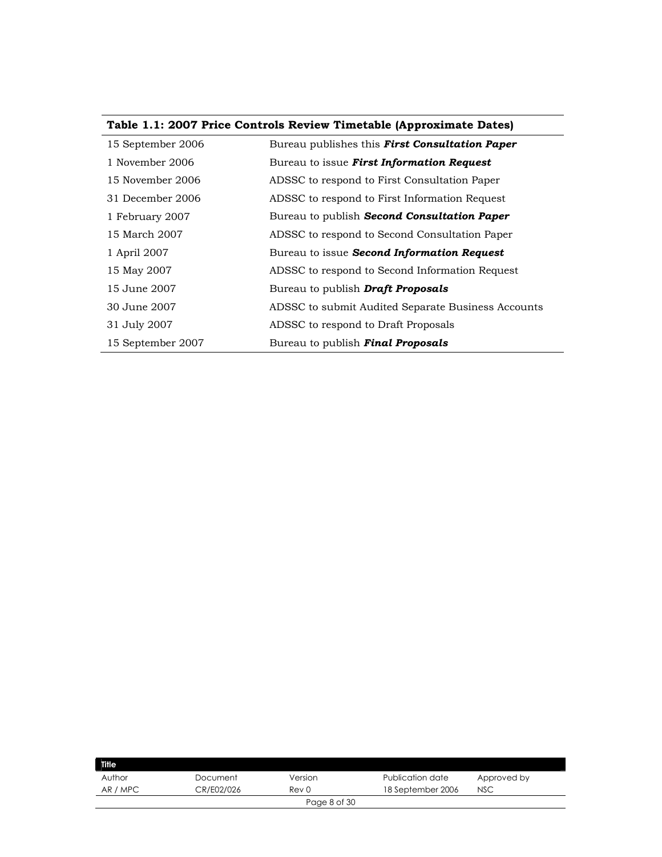|  |  |  | Table 1.1: 2007 Price Controls Review Timetable (Approximate Dates) |  |
|--|--|--|---------------------------------------------------------------------|--|
|  |  |  |                                                                     |  |

| 15 September 2006 | Bureau publishes this <b>First Consultation Paper</b> |
|-------------------|-------------------------------------------------------|
| 1 November 2006   | Bureau to issue First Information Request             |
| 15 November 2006  | ADSSC to respond to First Consultation Paper          |
| 31 December 2006  | ADSSC to respond to First Information Request         |
| 1 February 2007   | Bureau to publish <b>Second Consultation Paper</b>    |
| 15 March 2007     | ADSSC to respond to Second Consultation Paper         |
| 1 April 2007      | Bureau to issue Second Information Request            |
| 15 May 2007       | ADSSC to respond to Second Information Request        |
| 15 June 2007      | Bureau to publish <b>Draft Proposals</b>              |
| 30 June 2007      | ADSSC to submit Audited Separate Business Accounts    |
| 31 July 2007      | ADSSC to respond to Draft Proposals                   |
| 15 September 2007 | Bureau to publish Final Proposals                     |

| <b>Title</b> |            |              |                   |             |
|--------------|------------|--------------|-------------------|-------------|
| Author       | Document   | Version      | Publication date  | Approved by |
| AR / MPC     | CR/E02/026 | Rev 0        | 18 September 2006 | <b>NSC</b>  |
|              |            | Page 8 of 30 |                   |             |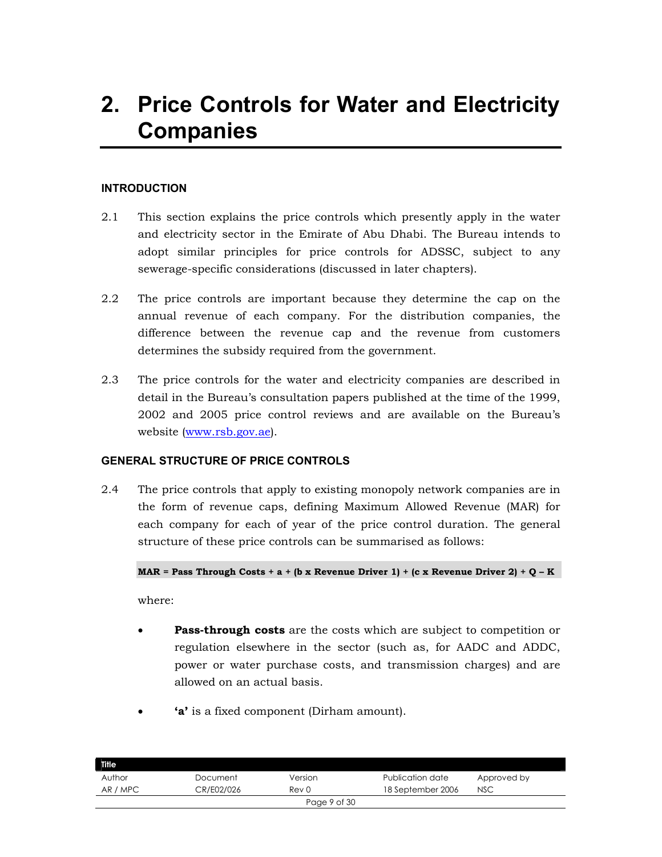# **2. Price Controls for Water and Electricity Companies**

### **INTRODUCTION**

- 2.1 This section explains the price controls which presently apply in the water and electricity sector in the Emirate of Abu Dhabi. The Bureau intends to adopt similar principles for price controls for ADSSC, subject to any sewerage-specific considerations (discussed in later chapters).
- 2.2 The price controls are important because they determine the cap on the annual revenue of each company. For the distribution companies, the difference between the revenue cap and the revenue from customers determines the subsidy required from the government.
- 2.3 The price controls for the water and electricity companies are described in detail in the Bureau's consultation papers published at the time of the 1999, 2002 and 2005 price control reviews and are available on the Bureau's website (www.rsb.gov.ae).

#### **GENERAL STRUCTURE OF PRICE CONTROLS**

2.4 The price controls that apply to existing monopoly network companies are in the form of revenue caps, defining Maximum Allowed Revenue (MAR) for each company for each of year of the price control duration. The general structure of these price controls can be summarised as follows:

#### **MAR = Pass Through Costs + a + (b x Revenue Driver 1) + (c x Revenue Driver 2) + Q – K**

where:

- **Pass-through costs** are the costs which are subject to competition or regulation elsewhere in the sector (such as, for AADC and ADDC, power or water purchase costs, and transmission charges) and are allowed on an actual basis.
- **'a'** is a fixed component (Dirham amount).

| <b>Title</b> |            |              |                   |             |
|--------------|------------|--------------|-------------------|-------------|
| Author       | Document   | Version      | Publication date  | Approved by |
| AR / MPC     | CR/E02/026 | Rev 0        | 18 September 2006 | <b>NSC</b>  |
|              |            | Page 9 of 30 |                   |             |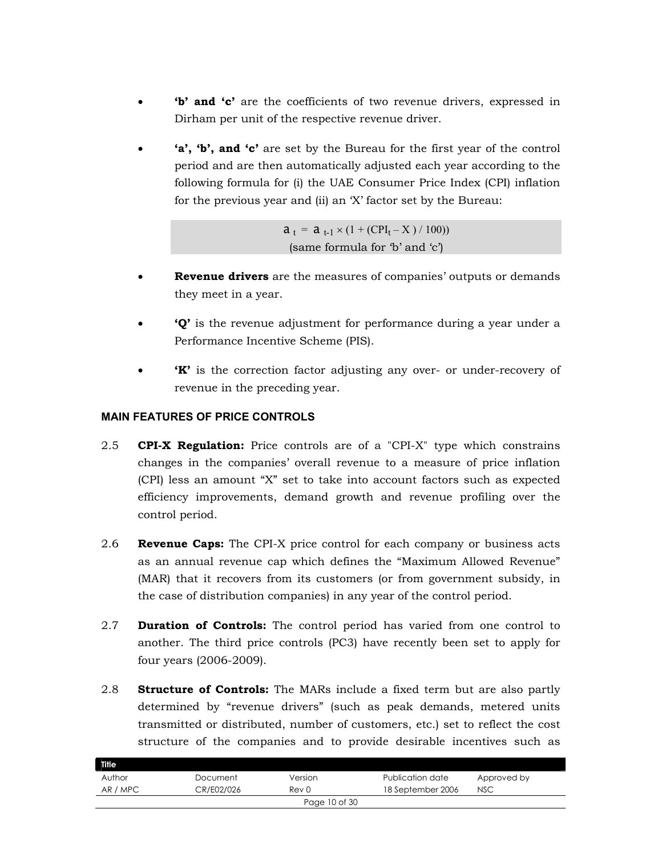- **'b' and 'c'** are the coefficients of two revenue drivers, expressed in Dirham per unit of the respective revenue driver.
- **'a', 'b', and 'c'** are set by the Bureau for the first year of the control period and are then automatically adjusted each year according to the following formula for (i) the UAE Consumer Price Index (CPI) inflation for the previous year and (ii) an 'X' factor set by the Bureau:

 $a_t = a_{t-1} \times (1 + (CPI_t - X) / 100)$ (same formula for 'b' and 'c')

- **Revenue drivers** are the measures of companies' outputs or demands they meet in a year.
- **'Q'** is the revenue adjustment for performance during a year under a Performance Incentive Scheme (PIS).
- **'K'** is the correction factor adjusting any over- or under-recovery of revenue in the preceding year.

# **MAIN FEATURES OF PRICE CONTROLS**

- 2.5 **CPI-X Regulation:** Price controls are of a "CPI-X" type which constrains changes in the companies' overall revenue to a measure of price inflation (CPI) less an amount "X" set to take into account factors such as expected efficiency improvements, demand growth and revenue profiling over the control period.
- 2.6 **Revenue Caps:** The CPI-X price control for each company or business acts as an annual revenue cap which defines the "Maximum Allowed Revenue" (MAR) that it recovers from its customers (or from government subsidy, in the case of distribution companies) in any year of the control period.
- 2.7 **Duration of Controls:** The control period has varied from one control to another. The third price controls (PC3) have recently been set to apply for four years (2006-2009).
- 2.8 **Structure of Controls:** The MARs include a fixed term but are also partly determined by "revenue drivers" (such as peak demands, metered units transmitted or distributed, number of customers, etc.) set to reflect the cost structure of the companies and to provide desirable incentives such as

| Title    |            |               |                   |             |  |
|----------|------------|---------------|-------------------|-------------|--|
| Author   | Document   | Version       | Publication date  | Approved by |  |
| AR / MPC | CR/E02/026 | Rev 0         | 18 September 2006 | <b>NSC</b>  |  |
|          |            | Page 10 of 30 |                   |             |  |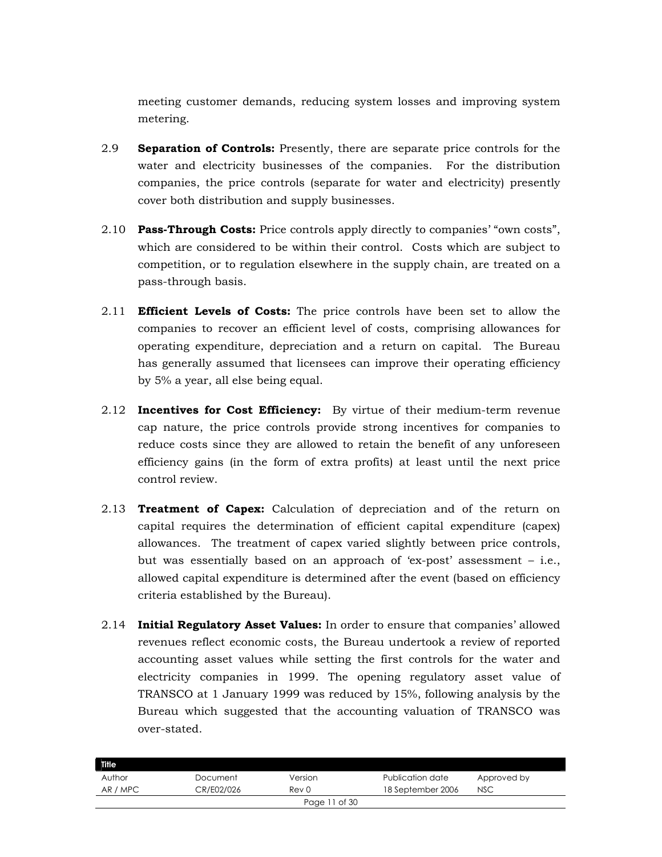meeting customer demands, reducing system losses and improving system metering.

- 2.9 **Separation of Controls:** Presently, there are separate price controls for the water and electricity businesses of the companies. For the distribution companies, the price controls (separate for water and electricity) presently cover both distribution and supply businesses.
- 2.10 **Pass-Through Costs:** Price controls apply directly to companies' "own costs", which are considered to be within their control. Costs which are subject to competition, or to regulation elsewhere in the supply chain, are treated on a pass-through basis.
- 2.11 **Efficient Levels of Costs:** The price controls have been set to allow the companies to recover an efficient level of costs, comprising allowances for operating expenditure, depreciation and a return on capital. The Bureau has generally assumed that licensees can improve their operating efficiency by 5% a year, all else being equal.
- 2.12 **Incentives for Cost Efficiency:** By virtue of their medium-term revenue cap nature, the price controls provide strong incentives for companies to reduce costs since they are allowed to retain the benefit of any unforeseen efficiency gains (in the form of extra profits) at least until the next price control review.
- 2.13 **Treatment of Capex:** Calculation of depreciation and of the return on capital requires the determination of efficient capital expenditure (capex) allowances. The treatment of capex varied slightly between price controls, but was essentially based on an approach of 'ex-post' assessment – i.e., allowed capital expenditure is determined after the event (based on efficiency criteria established by the Bureau).
- 2.14 **Initial Regulatory Asset Values:** In order to ensure that companies' allowed revenues reflect economic costs, the Bureau undertook a review of reported accounting asset values while setting the first controls for the water and electricity companies in 1999. The opening regulatory asset value of TRANSCO at 1 January 1999 was reduced by 15%, following analysis by the Bureau which suggested that the accounting valuation of TRANSCO was over-stated.

| <b>Title</b>  |            |         |                   |             |  |
|---------------|------------|---------|-------------------|-------------|--|
| Author        | Document   | Version | Publication date  | Approved by |  |
| AR / MPC      | CR/E02/026 | Rev 0   | 18 September 2006 | <b>NSC</b>  |  |
| Page 11 of 30 |            |         |                   |             |  |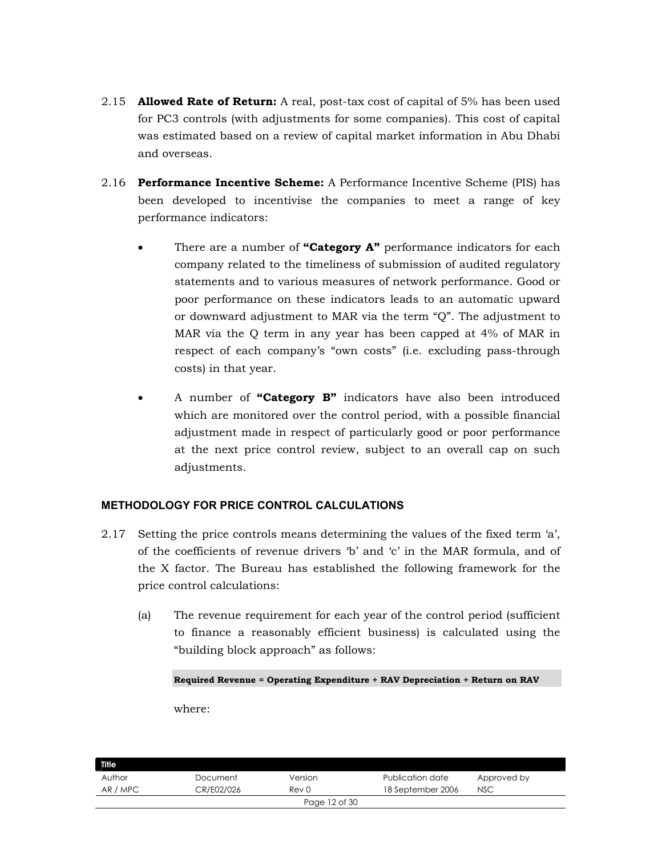- 2.15 **Allowed Rate of Return:** A real, post-tax cost of capital of 5% has been used for PC3 controls (with adjustments for some companies). This cost of capital was estimated based on a review of capital market information in Abu Dhabi and overseas.
- 2.16 **Performance Incentive Scheme:** A Performance Incentive Scheme (PIS) has been developed to incentivise the companies to meet a range of key performance indicators:
	- There are a number of **"Category A"** performance indicators for each company related to the timeliness of submission of audited regulatory statements and to various measures of network performance. Good or poor performance on these indicators leads to an automatic upward or downward adjustment to MAR via the term "Q". The adjustment to MAR via the Q term in any year has been capped at 4% of MAR in respect of each company's "own costs" (i.e. excluding pass-through costs) in that year.
	- A number of **"Category B"** indicators have also been introduced which are monitored over the control period, with a possible financial adjustment made in respect of particularly good or poor performance at the next price control review, subject to an overall cap on such adjustments.

# **METHODOLOGY FOR PRICE CONTROL CALCULATIONS**

- 2.17 Setting the price controls means determining the values of the fixed term 'a', of the coefficients of revenue drivers 'b' and 'c' in the MAR formula, and of the X factor. The Bureau has established the following framework for the price control calculations:
	- (a) The revenue requirement for each year of the control period (sufficient to finance a reasonably efficient business) is calculated using the "building block approach" as follows:

**Required Revenue = Operating Expenditure + RAV Depreciation + Return on RAV** 

where:

| Title    |            |               |                   |             |  |
|----------|------------|---------------|-------------------|-------------|--|
| Author   | Document   | Version       | Publication date  | Approved by |  |
| AR / MPC | CR/E02/026 | Rev 0         | 18 September 2006 | <b>NSC</b>  |  |
|          |            | Page 12 of 30 |                   |             |  |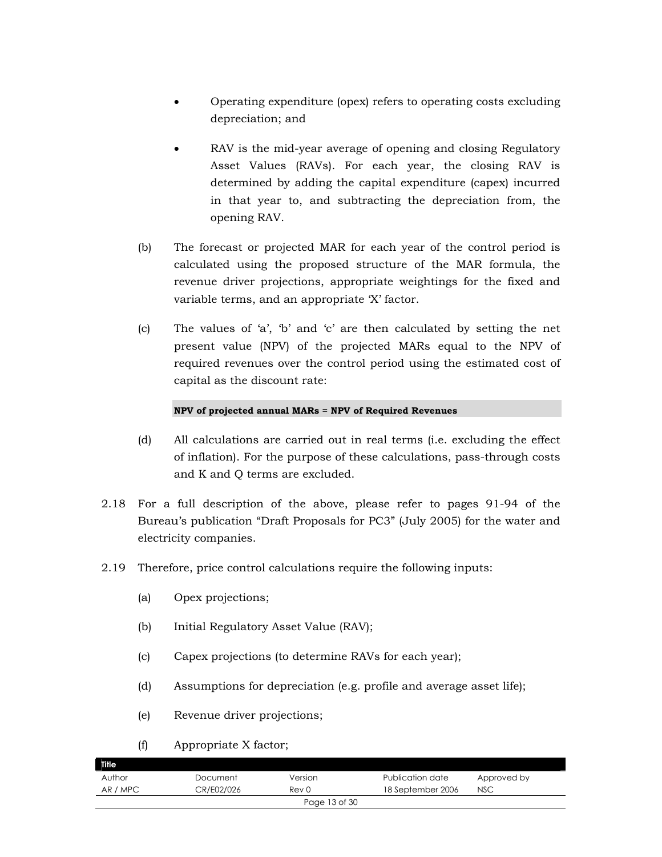- Operating expenditure (opex) refers to operating costs excluding depreciation; and
- RAV is the mid-year average of opening and closing Regulatory Asset Values (RAVs). For each year, the closing RAV is determined by adding the capital expenditure (capex) incurred in that year to, and subtracting the depreciation from, the opening RAV.
- (b) The forecast or projected MAR for each year of the control period is calculated using the proposed structure of the MAR formula, the revenue driver projections, appropriate weightings for the fixed and variable terms, and an appropriate 'X' factor.
- (c) The values of 'a', 'b' and 'c' are then calculated by setting the net present value (NPV) of the projected MARs equal to the NPV of required revenues over the control period using the estimated cost of capital as the discount rate:

#### **NPV of projected annual MARs = NPV of Required Revenues**

- (d) All calculations are carried out in real terms (i.e. excluding the effect of inflation). For the purpose of these calculations, pass-through costs and K and Q terms are excluded.
- 2.18 For a full description of the above, please refer to pages 91-94 of the Bureau's publication "Draft Proposals for PC3" (July 2005) for the water and electricity companies.
- 2.19 Therefore, price control calculations require the following inputs:
	- (a) Opex projections;
	- (b) Initial Regulatory Asset Value (RAV);
	- (c) Capex projections (to determine RAVs for each year);
	- (d) Assumptions for depreciation (e.g. profile and average asset life);
	- (e) Revenue driver projections;

#### (f) Appropriate X factor;

| Title    |            |               |                   |             |  |
|----------|------------|---------------|-------------------|-------------|--|
| Author   | Document   | Version       | Publication date  | Approved by |  |
| AR / MPC | CR/E02/026 | Rev 0         | 18 September 2006 | <b>NSC</b>  |  |
|          |            | Page 13 of 30 |                   |             |  |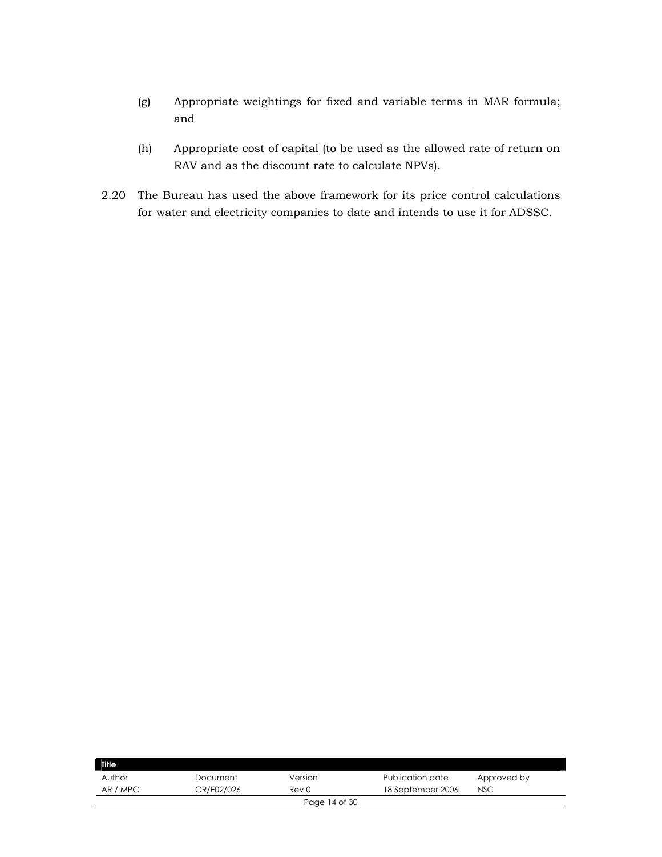- (g) Appropriate weightings for fixed and variable terms in MAR formula; and
- (h) Appropriate cost of capital (to be used as the allowed rate of return on RAV and as the discount rate to calculate NPVs).
- 2.20 The Bureau has used the above framework for its price control calculations for water and electricity companies to date and intends to use it for ADSSC.

| <b>Title</b> |            |               |                   |             |
|--------------|------------|---------------|-------------------|-------------|
| Author       | Document   | Version       | Publication date  | Approved by |
| AR / MPC     | CR/E02/026 | Rev 0         | 18 September 2006 | <b>NSC</b>  |
|              |            | Page 14 of 30 |                   |             |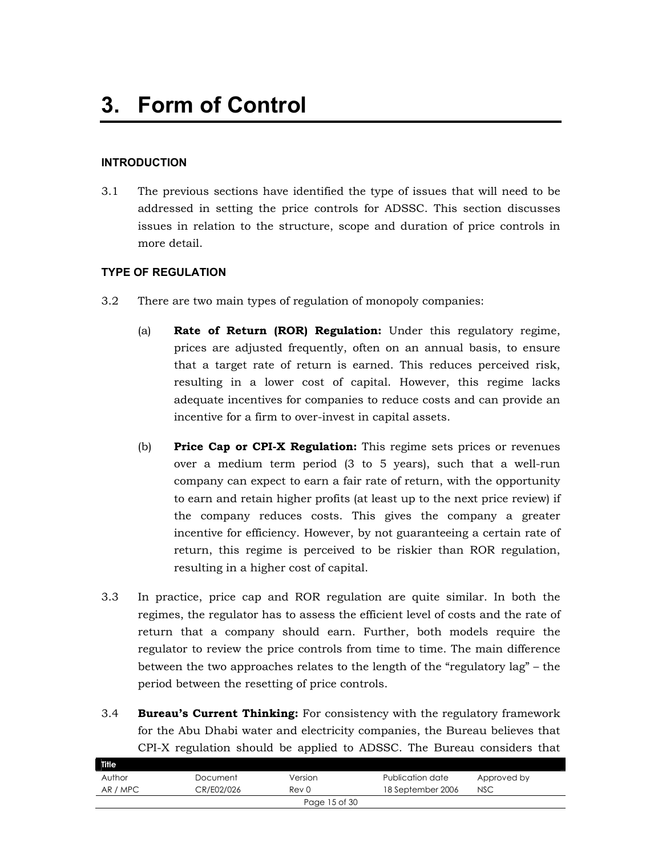### **INTRODUCTION**

3.1 The previous sections have identified the type of issues that will need to be addressed in setting the price controls for ADSSC. This section discusses issues in relation to the structure, scope and duration of price controls in more detail.

#### **TYPE OF REGULATION**

- 3.2 There are two main types of regulation of monopoly companies:
	- (a) **Rate of Return (ROR) Regulation:** Under this regulatory regime, prices are adjusted frequently, often on an annual basis, to ensure that a target rate of return is earned. This reduces perceived risk, resulting in a lower cost of capital. However, this regime lacks adequate incentives for companies to reduce costs and can provide an incentive for a firm to over-invest in capital assets.
	- (b) **Price Cap or CPI-X Regulation:** This regime sets prices or revenues over a medium term period (3 to 5 years), such that a well-run company can expect to earn a fair rate of return, with the opportunity to earn and retain higher profits (at least up to the next price review) if the company reduces costs. This gives the company a greater incentive for efficiency. However, by not guaranteeing a certain rate of return, this regime is perceived to be riskier than ROR regulation, resulting in a higher cost of capital.
- 3.3 In practice, price cap and ROR regulation are quite similar. In both the regimes, the regulator has to assess the efficient level of costs and the rate of return that a company should earn. Further, both models require the regulator to review the price controls from time to time. The main difference between the two approaches relates to the length of the "regulatory lag" – the period between the resetting of price controls.
- 3.4 **Bureau's Current Thinking:** For consistency with the regulatory framework for the Abu Dhabi water and electricity companies, the Bureau believes that CPI-X regulation should be applied to ADSSC. The Bureau considers that

| <b>Title</b> |            |               |                   |             |
|--------------|------------|---------------|-------------------|-------------|
| Author       | Document   | Version       | Publication date  | Approved by |
| AR / MPC     | CR/E02/026 | Rev 0         | 18 September 2006 | <b>NSC</b>  |
|              |            | Page 15 of 30 |                   |             |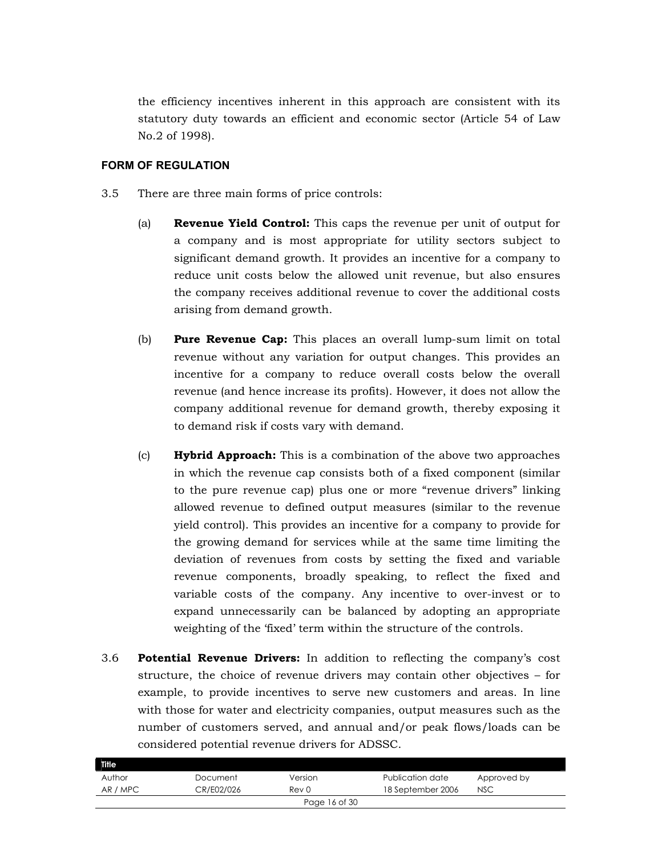the efficiency incentives inherent in this approach are consistent with its statutory duty towards an efficient and economic sector (Article 54 of Law No.2 of 1998).

#### **FORM OF REGULATION**

- 3.5 There are three main forms of price controls:
	- (a) **Revenue Yield Control:** This caps the revenue per unit of output for a company and is most appropriate for utility sectors subject to significant demand growth. It provides an incentive for a company to reduce unit costs below the allowed unit revenue, but also ensures the company receives additional revenue to cover the additional costs arising from demand growth.
	- (b) **Pure Revenue Cap:** This places an overall lump-sum limit on total revenue without any variation for output changes. This provides an incentive for a company to reduce overall costs below the overall revenue (and hence increase its profits). However, it does not allow the company additional revenue for demand growth, thereby exposing it to demand risk if costs vary with demand.
	- (c) **Hybrid Approach:** This is a combination of the above two approaches in which the revenue cap consists both of a fixed component (similar to the pure revenue cap) plus one or more "revenue drivers" linking allowed revenue to defined output measures (similar to the revenue yield control). This provides an incentive for a company to provide for the growing demand for services while at the same time limiting the deviation of revenues from costs by setting the fixed and variable revenue components, broadly speaking, to reflect the fixed and variable costs of the company. Any incentive to over-invest or to expand unnecessarily can be balanced by adopting an appropriate weighting of the 'fixed' term within the structure of the controls.
- 3.6 **Potential Revenue Drivers:** In addition to reflecting the company's cost structure, the choice of revenue drivers may contain other objectives – for example, to provide incentives to serve new customers and areas. In line with those for water and electricity companies, output measures such as the number of customers served, and annual and/or peak flows/loads can be considered potential revenue drivers for ADSSC.

| Title    |            |               |                   |             |  |
|----------|------------|---------------|-------------------|-------------|--|
| Author   | Document   | Version       | Publication date  | Approved by |  |
| AR / MPC | CR/E02/026 | Rev 0         | 18 September 2006 | <b>NSC</b>  |  |
|          |            | Page 16 of 30 |                   |             |  |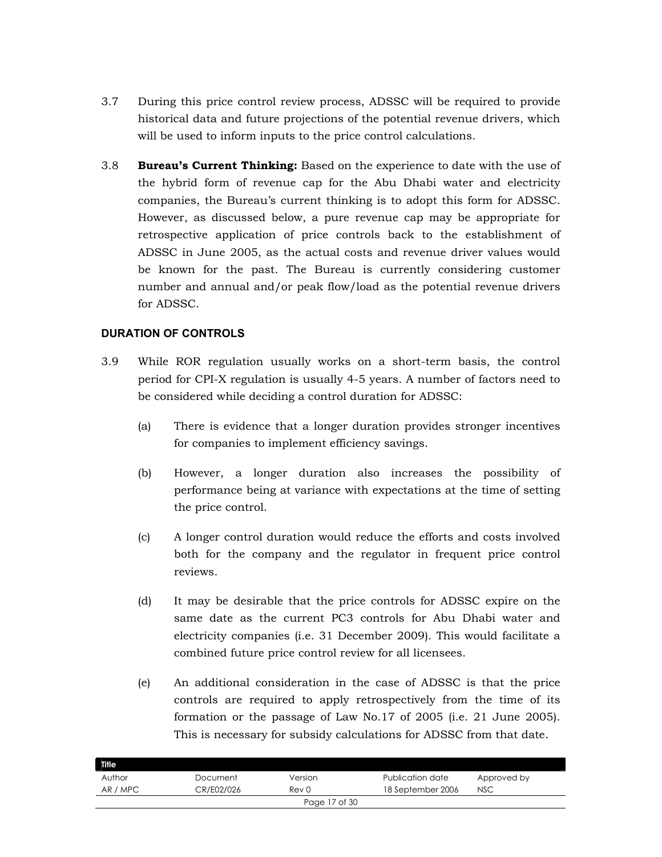- 3.7 During this price control review process, ADSSC will be required to provide historical data and future projections of the potential revenue drivers, which will be used to inform inputs to the price control calculations.
- 3.8 **Bureau's Current Thinking:** Based on the experience to date with the use of the hybrid form of revenue cap for the Abu Dhabi water and electricity companies, the Bureau's current thinking is to adopt this form for ADSSC. However, as discussed below, a pure revenue cap may be appropriate for retrospective application of price controls back to the establishment of ADSSC in June 2005, as the actual costs and revenue driver values would be known for the past. The Bureau is currently considering customer number and annual and/or peak flow/load as the potential revenue drivers for ADSSC.

# **DURATION OF CONTROLS**

- 3.9 While ROR regulation usually works on a short-term basis, the control period for CPI-X regulation is usually 4-5 years. A number of factors need to be considered while deciding a control duration for ADSSC:
	- (a) There is evidence that a longer duration provides stronger incentives for companies to implement efficiency savings.
	- (b) However, a longer duration also increases the possibility of performance being at variance with expectations at the time of setting the price control.
	- (c) A longer control duration would reduce the efforts and costs involved both for the company and the regulator in frequent price control reviews.
	- (d) It may be desirable that the price controls for ADSSC expire on the same date as the current PC3 controls for Abu Dhabi water and electricity companies (i.e. 31 December 2009). This would facilitate a combined future price control review for all licensees.
	- (e) An additional consideration in the case of ADSSC is that the price controls are required to apply retrospectively from the time of its formation or the passage of Law No.17 of 2005 (i.e. 21 June 2005). This is necessary for subsidy calculations for ADSSC from that date.

| Title         |            |                  |                   |             |  |
|---------------|------------|------------------|-------------------|-------------|--|
| Author        | Document   | Version          | Publication date  | Approved by |  |
| AR / MPC      | CR/E02/026 | Rev <sub>0</sub> | 18 September 2006 | <b>NSC</b>  |  |
| Page 17 of 30 |            |                  |                   |             |  |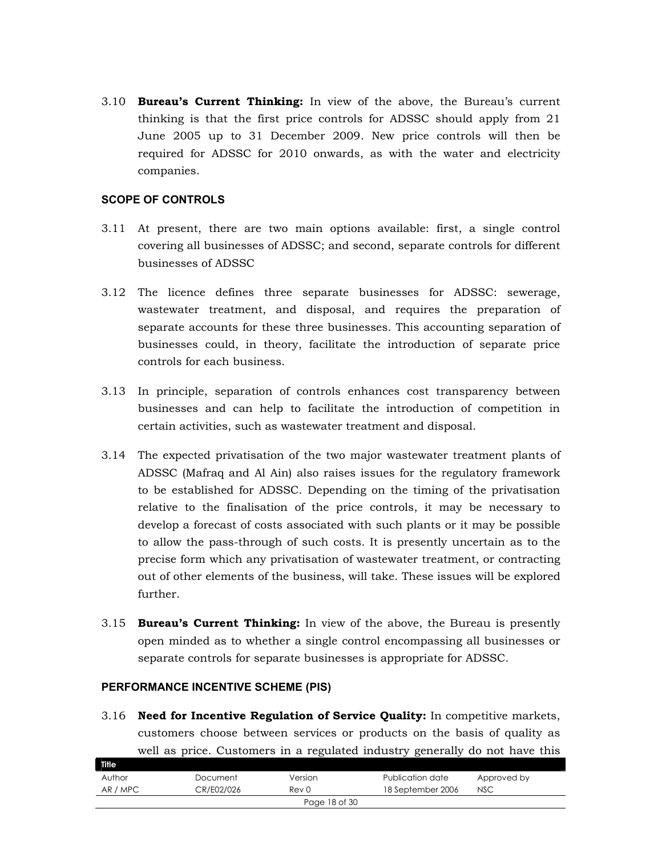3.10 **Bureau's Current Thinking:** In view of the above, the Bureau's current thinking is that the first price controls for ADSSC should apply from 21 June 2005 up to 31 December 2009. New price controls will then be required for ADSSC for 2010 onwards, as with the water and electricity companies.

#### **SCOPE OF CONTROLS**

- 3.11 At present, there are two main options available: first, a single control covering all businesses of ADSSC; and second, separate controls for different businesses of ADSSC
- 3.12 The licence defines three separate businesses for ADSSC: sewerage, wastewater treatment, and disposal, and requires the preparation of separate accounts for these three businesses. This accounting separation of businesses could, in theory, facilitate the introduction of separate price controls for each business.
- 3.13 In principle, separation of controls enhances cost transparency between businesses and can help to facilitate the introduction of competition in certain activities, such as wastewater treatment and disposal.
- 3.14 The expected privatisation of the two major wastewater treatment plants of ADSSC (Mafraq and Al Ain) also raises issues for the regulatory framework to be established for ADSSC. Depending on the timing of the privatisation relative to the finalisation of the price controls, it may be necessary to develop a forecast of costs associated with such plants or it may be possible to allow the pass-through of such costs. It is presently uncertain as to the precise form which any privatisation of wastewater treatment, or contracting out of other elements of the business, will take. These issues will be explored further.
- 3.15 **Bureau's Current Thinking:** In view of the above, the Bureau is presently open minded as to whether a single control encompassing all businesses or separate controls for separate businesses is appropriate for ADSSC.

#### **PERFORMANCE INCENTIVE SCHEME (PIS)**

3.16 **Need for Incentive Regulation of Service Quality:** In competitive markets, customers choose between services or products on the basis of quality as well as price. Customers in a regulated industry generally do not have this

| Title         |            |                  |                   |             |  |
|---------------|------------|------------------|-------------------|-------------|--|
| Author        | Document   | Version          | Publication date  | Approved by |  |
| AR / MPC      | CR/E02/026 | Rev <sub>0</sub> | 18 September 2006 | <b>NSC</b>  |  |
| Page 18 of 30 |            |                  |                   |             |  |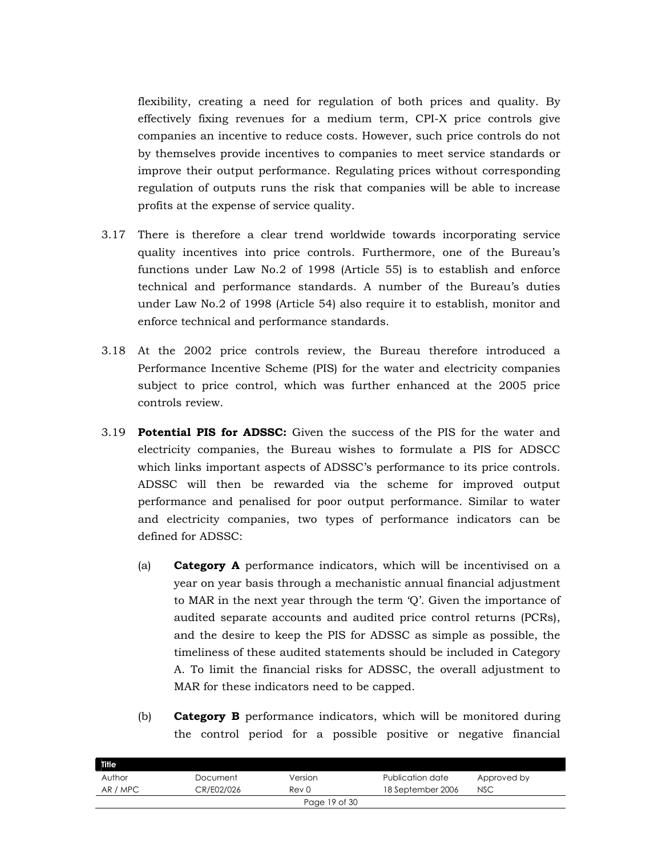flexibility, creating a need for regulation of both prices and quality. By effectively fixing revenues for a medium term, CPI-X price controls give companies an incentive to reduce costs. However, such price controls do not by themselves provide incentives to companies to meet service standards or improve their output performance. Regulating prices without corresponding regulation of outputs runs the risk that companies will be able to increase profits at the expense of service quality.

- 3.17 There is therefore a clear trend worldwide towards incorporating service quality incentives into price controls. Furthermore, one of the Bureau's functions under Law No.2 of 1998 (Article 55) is to establish and enforce technical and performance standards. A number of the Bureau's duties under Law No.2 of 1998 (Article 54) also require it to establish, monitor and enforce technical and performance standards.
- 3.18 At the 2002 price controls review, the Bureau therefore introduced a Performance Incentive Scheme (PIS) for the water and electricity companies subject to price control, which was further enhanced at the 2005 price controls review.
- 3.19 **Potential PIS for ADSSC:** Given the success of the PIS for the water and electricity companies, the Bureau wishes to formulate a PIS for ADSCC which links important aspects of ADSSC's performance to its price controls. ADSSC will then be rewarded via the scheme for improved output performance and penalised for poor output performance. Similar to water and electricity companies, two types of performance indicators can be defined for ADSSC:
	- (a) **Category A** performance indicators, which will be incentivised on a year on year basis through a mechanistic annual financial adjustment to MAR in the next year through the term 'Q'. Given the importance of audited separate accounts and audited price control returns (PCRs), and the desire to keep the PIS for ADSSC as simple as possible, the timeliness of these audited statements should be included in Category A. To limit the financial risks for ADSSC, the overall adjustment to MAR for these indicators need to be capped.
	- (b) **Category B** performance indicators, which will be monitored during the control period for a possible positive or negative financial

| Title         |            |         |                   |             |  |
|---------------|------------|---------|-------------------|-------------|--|
| Author        | Document   | Version | Publication date  | Approved by |  |
| AR / MPC      | CR/E02/026 | Rev 0   | 18 September 2006 | <b>NSC</b>  |  |
| Page 19 of 30 |            |         |                   |             |  |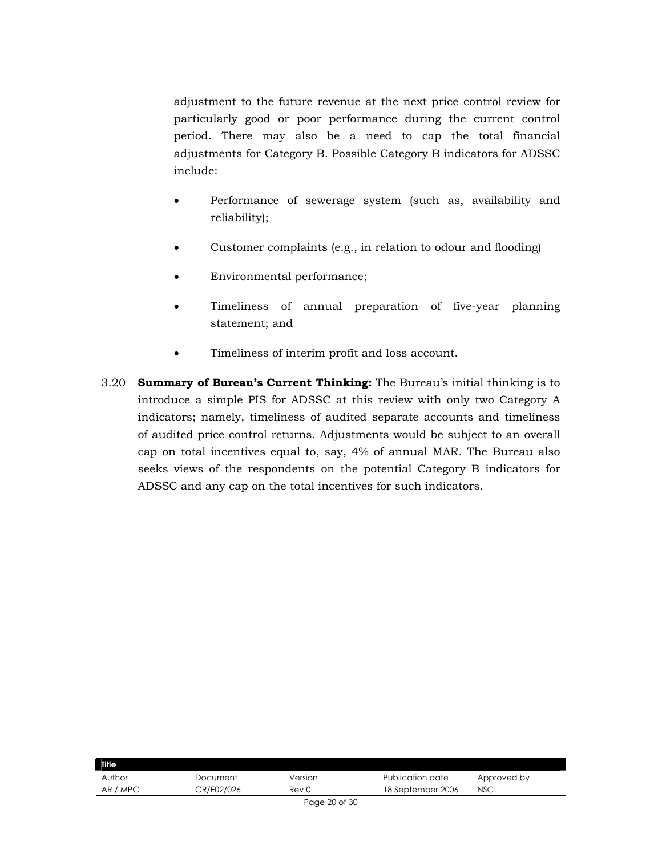adjustment to the future revenue at the next price control review for particularly good or poor performance during the current control period. There may also be a need to cap the total financial adjustments for Category B. Possible Category B indicators for ADSSC include:

- Performance of sewerage system (such as, availability and reliability);
- Customer complaints (e.g., in relation to odour and flooding)
- Environmental performance;
- Timeliness of annual preparation of five-year planning statement; and
- Timeliness of interim profit and loss account.
- 3.20 **Summary of Bureau's Current Thinking:** The Bureau's initial thinking is to introduce a simple PIS for ADSSC at this review with only two Category A indicators; namely, timeliness of audited separate accounts and timeliness of audited price control returns. Adjustments would be subject to an overall cap on total incentives equal to, say, 4% of annual MAR. The Bureau also seeks views of the respondents on the potential Category B indicators for ADSSC and any cap on the total incentives for such indicators.

| Title         |            |         |                   |             |  |
|---------------|------------|---------|-------------------|-------------|--|
| Author        | Document   | Version | Publication date  | Approved by |  |
| AR / MPC      | CR/E02/026 | Rev 0   | 18 September 2006 | <b>NSC</b>  |  |
| Page 20 of 30 |            |         |                   |             |  |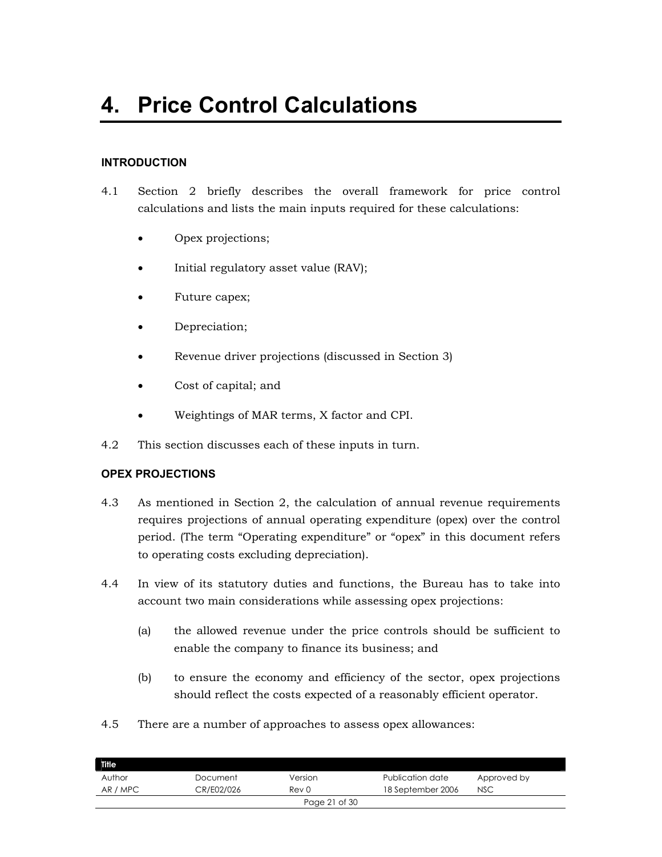# **INTRODUCTION**

- 4.1 Section 2 briefly describes the overall framework for price control calculations and lists the main inputs required for these calculations:
	- Opex projections;
	- Initial regulatory asset value (RAV);
	- Future capex;
	- Depreciation;
	- Revenue driver projections (discussed in Section 3)
	- Cost of capital; and
	- Weightings of MAR terms, X factor and CPI.
- 4.2 This section discusses each of these inputs in turn.

# **OPEX PROJECTIONS**

- 4.3 As mentioned in Section 2, the calculation of annual revenue requirements requires projections of annual operating expenditure (opex) over the control period. (The term "Operating expenditure" or "opex" in this document refers to operating costs excluding depreciation).
- 4.4 In view of its statutory duties and functions, the Bureau has to take into account two main considerations while assessing opex projections:
	- (a) the allowed revenue under the price controls should be sufficient to enable the company to finance its business; and
	- (b) to ensure the economy and efficiency of the sector, opex projections should reflect the costs expected of a reasonably efficient operator.
- 4.5 There are a number of approaches to assess opex allowances:

| <b>Title</b> |            |               |                   |             |
|--------------|------------|---------------|-------------------|-------------|
| Author       | Document   | Version       | Publication date  | Approved by |
| AR / MPC     | CR/E02/026 | Rev 0         | 18 September 2006 | <b>NSC</b>  |
|              |            | Page 21 of 30 |                   |             |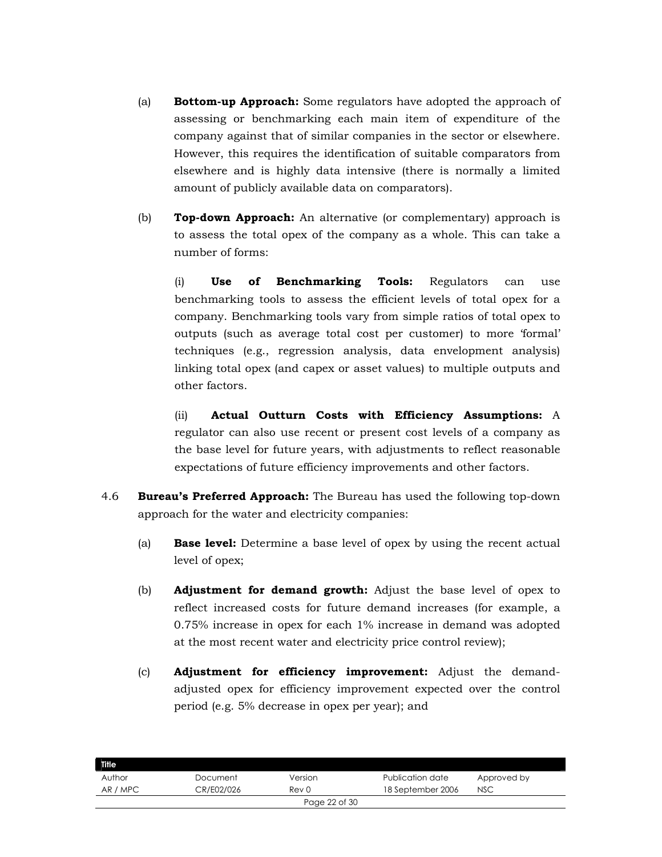- (a) **Bottom-up Approach:** Some regulators have adopted the approach of assessing or benchmarking each main item of expenditure of the company against that of similar companies in the sector or elsewhere. However, this requires the identification of suitable comparators from elsewhere and is highly data intensive (there is normally a limited amount of publicly available data on comparators).
- (b) **Top-down Approach:** An alternative (or complementary) approach is to assess the total opex of the company as a whole. This can take a number of forms:

(i) **Use of Benchmarking Tools:** Regulators can use benchmarking tools to assess the efficient levels of total opex for a company. Benchmarking tools vary from simple ratios of total opex to outputs (such as average total cost per customer) to more 'formal' techniques (e.g., regression analysis, data envelopment analysis) linking total opex (and capex or asset values) to multiple outputs and other factors.

(ii) **Actual Outturn Costs with Efficiency Assumptions:** A regulator can also use recent or present cost levels of a company as the base level for future years, with adjustments to reflect reasonable expectations of future efficiency improvements and other factors.

- 4.6 **Bureau's Preferred Approach:** The Bureau has used the following top-down approach for the water and electricity companies:
	- (a) **Base level:** Determine a base level of opex by using the recent actual level of opex;
	- (b) **Adjustment for demand growth:** Adjust the base level of opex to reflect increased costs for future demand increases (for example, a 0.75% increase in opex for each 1% increase in demand was adopted at the most recent water and electricity price control review);
	- (c) **Adjustment for efficiency improvement:** Adjust the demandadjusted opex for efficiency improvement expected over the control period (e.g. 5% decrease in opex per year); and

| <b>Title</b> |            |               |                   |             |
|--------------|------------|---------------|-------------------|-------------|
| Author       | Document   | Version       | Publication date  | Approved by |
| AR / MPC     | CR/E02/026 | Rev 0         | 18 September 2006 | <b>NSC</b>  |
|              |            | Page 22 of 30 |                   |             |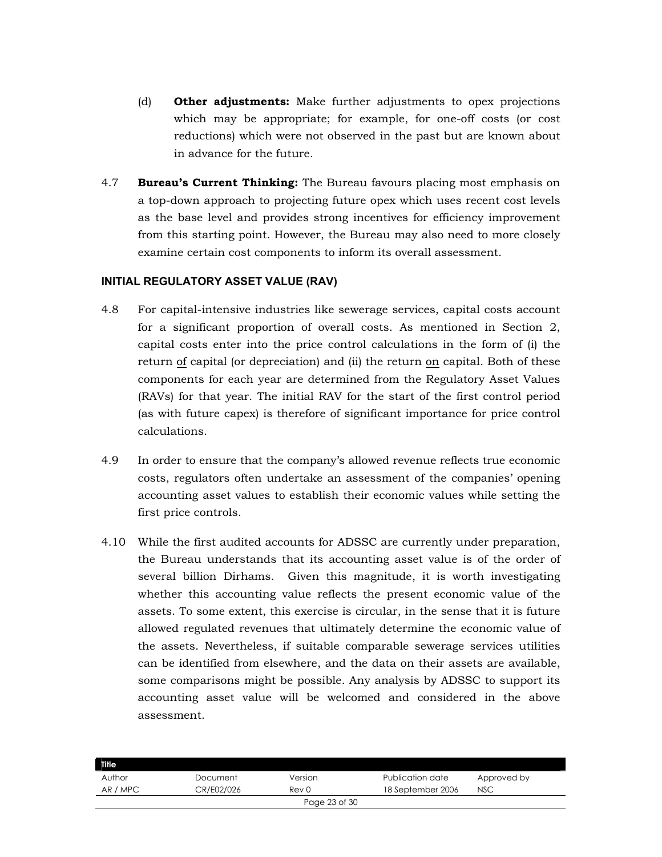- (d) **Other adjustments:** Make further adjustments to opex projections which may be appropriate; for example, for one-off costs (or cost reductions) which were not observed in the past but are known about in advance for the future.
- 4.7 **Bureau's Current Thinking:** The Bureau favours placing most emphasis on a top-down approach to projecting future opex which uses recent cost levels as the base level and provides strong incentives for efficiency improvement from this starting point. However, the Bureau may also need to more closely examine certain cost components to inform its overall assessment.

### **INITIAL REGULATORY ASSET VALUE (RAV)**

- 4.8 For capital-intensive industries like sewerage services, capital costs account for a significant proportion of overall costs. As mentioned in Section 2, capital costs enter into the price control calculations in the form of (i) the return of capital (or depreciation) and (ii) the return on capital. Both of these components for each year are determined from the Regulatory Asset Values (RAVs) for that year. The initial RAV for the start of the first control period (as with future capex) is therefore of significant importance for price control calculations.
- 4.9 In order to ensure that the company's allowed revenue reflects true economic costs, regulators often undertake an assessment of the companies' opening accounting asset values to establish their economic values while setting the first price controls.
- 4.10 While the first audited accounts for ADSSC are currently under preparation, the Bureau understands that its accounting asset value is of the order of several billion Dirhams. Given this magnitude, it is worth investigating whether this accounting value reflects the present economic value of the assets. To some extent, this exercise is circular, in the sense that it is future allowed regulated revenues that ultimately determine the economic value of the assets. Nevertheless, if suitable comparable sewerage services utilities can be identified from elsewhere, and the data on their assets are available, some comparisons might be possible. Any analysis by ADSSC to support its accounting asset value will be welcomed and considered in the above assessment.

| <b>Title</b>  |            |         |                   |             |  |
|---------------|------------|---------|-------------------|-------------|--|
| Author        | Document   | Version | Publication date  | Approved by |  |
| AR / MPC      | CR/E02/026 | Rev 0   | 18 September 2006 | <b>NSC</b>  |  |
| Page 23 of 30 |            |         |                   |             |  |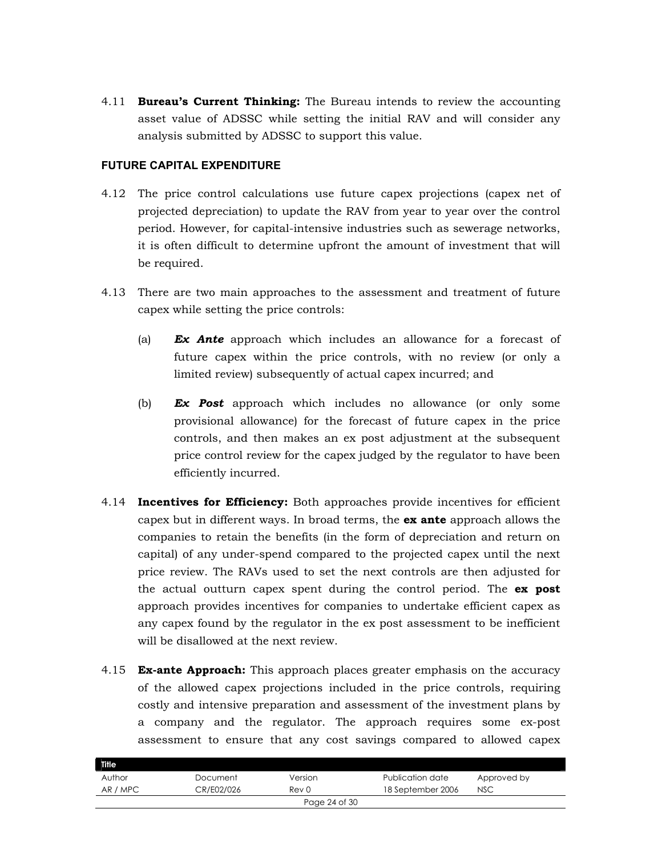4.11 **Bureau's Current Thinking:** The Bureau intends to review the accounting asset value of ADSSC while setting the initial RAV and will consider any analysis submitted by ADSSC to support this value.

#### **FUTURE CAPITAL EXPENDITURE**

- 4.12 The price control calculations use future capex projections (capex net of projected depreciation) to update the RAV from year to year over the control period. However, for capital-intensive industries such as sewerage networks, it is often difficult to determine upfront the amount of investment that will be required.
- 4.13 There are two main approaches to the assessment and treatment of future capex while setting the price controls:
	- (a) *Ex Ante* approach which includes an allowance for a forecast of future capex within the price controls, with no review (or only a limited review) subsequently of actual capex incurred; and
	- (b) *Ex Post* approach which includes no allowance (or only some provisional allowance) for the forecast of future capex in the price controls, and then makes an ex post adjustment at the subsequent price control review for the capex judged by the regulator to have been efficiently incurred.
- 4.14 **Incentives for Efficiency:** Both approaches provide incentives for efficient capex but in different ways. In broad terms, the **ex ante** approach allows the companies to retain the benefits (in the form of depreciation and return on capital) of any under-spend compared to the projected capex until the next price review. The RAVs used to set the next controls are then adjusted for the actual outturn capex spent during the control period. The **ex post** approach provides incentives for companies to undertake efficient capex as any capex found by the regulator in the ex post assessment to be inefficient will be disallowed at the next review.
- 4.15 **Ex-ante Approach:** This approach places greater emphasis on the accuracy of the allowed capex projections included in the price controls, requiring costly and intensive preparation and assessment of the investment plans by a company and the regulator. The approach requires some ex-post assessment to ensure that any cost savings compared to allowed capex

| Title         |            |         |                   |             |  |
|---------------|------------|---------|-------------------|-------------|--|
| Author        | Document   | Version | Publication date  | Approved by |  |
| AR / MPC      | CR/E02/026 | Rev 0   | 18 September 2006 | <b>NSC</b>  |  |
| Page 24 of 30 |            |         |                   |             |  |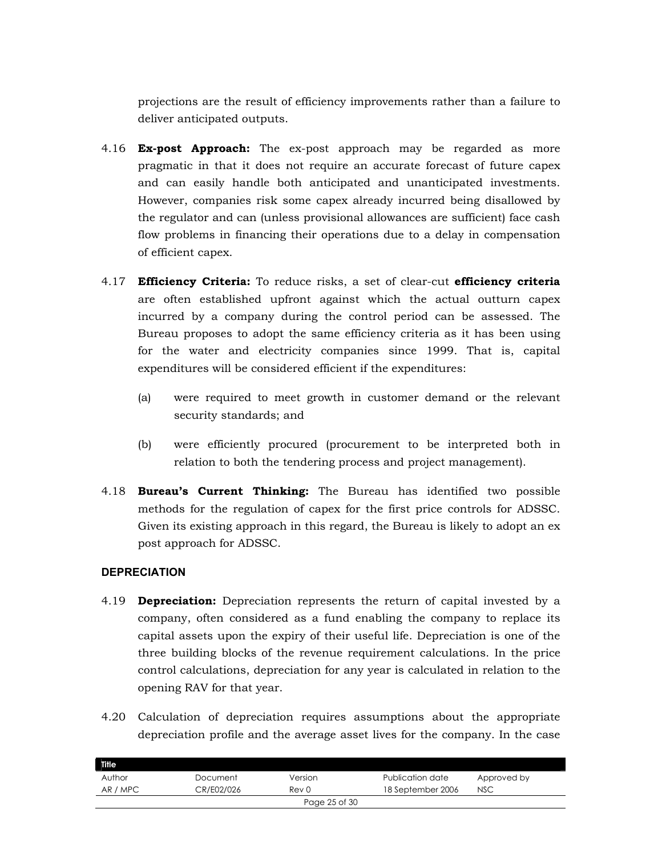projections are the result of efficiency improvements rather than a failure to deliver anticipated outputs.

- 4.16 **Ex-post Approach:** The ex-post approach may be regarded as more pragmatic in that it does not require an accurate forecast of future capex and can easily handle both anticipated and unanticipated investments. However, companies risk some capex already incurred being disallowed by the regulator and can (unless provisional allowances are sufficient) face cash flow problems in financing their operations due to a delay in compensation of efficient capex.
- 4.17 **Efficiency Criteria:** To reduce risks, a set of clear-cut **efficiency criteria** are often established upfront against which the actual outturn capex incurred by a company during the control period can be assessed. The Bureau proposes to adopt the same efficiency criteria as it has been using for the water and electricity companies since 1999. That is, capital expenditures will be considered efficient if the expenditures:
	- (a) were required to meet growth in customer demand or the relevant security standards; and
	- (b) were efficiently procured (procurement to be interpreted both in relation to both the tendering process and project management).
- 4.18 **Bureau's Current Thinking:** The Bureau has identified two possible methods for the regulation of capex for the first price controls for ADSSC. Given its existing approach in this regard, the Bureau is likely to adopt an ex post approach for ADSSC.

# **DEPRECIATION**

- 4.19 **Depreciation:** Depreciation represents the return of capital invested by a company, often considered as a fund enabling the company to replace its capital assets upon the expiry of their useful life. Depreciation is one of the three building blocks of the revenue requirement calculations. In the price control calculations, depreciation for any year is calculated in relation to the opening RAV for that year.
- 4.20 Calculation of depreciation requires assumptions about the appropriate depreciation profile and the average asset lives for the company. In the case

| <b>Title</b> |            |               |                   |             |
|--------------|------------|---------------|-------------------|-------------|
| Author       | Document   | Version       | Publication date  | Approved by |
| AR / MPC     | CR/E02/026 | Rev 0         | 18 September 2006 | <b>NSC</b>  |
|              |            | Page 25 of 30 |                   |             |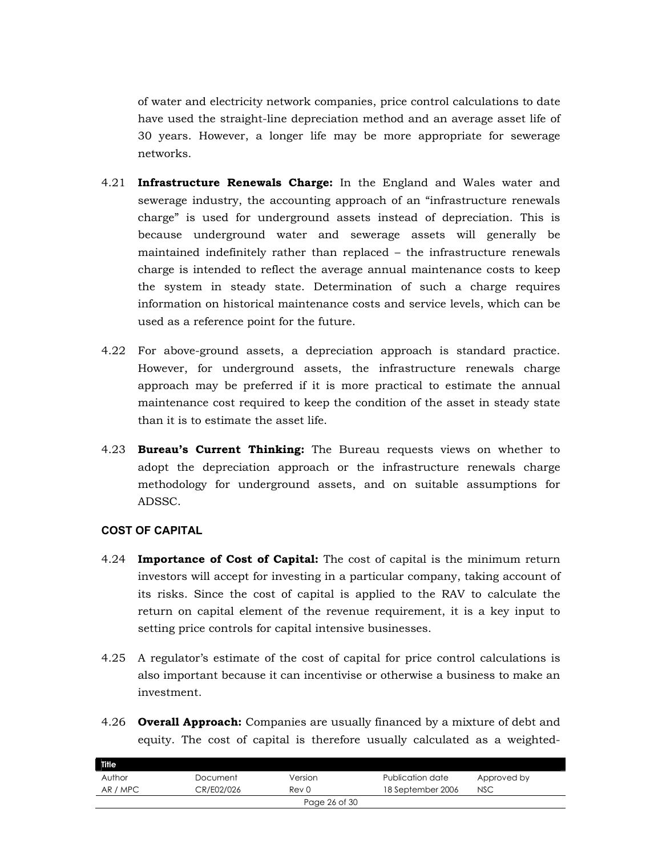of water and electricity network companies, price control calculations to date have used the straight-line depreciation method and an average asset life of 30 years. However, a longer life may be more appropriate for sewerage networks.

- 4.21 **Infrastructure Renewals Charge:** In the England and Wales water and sewerage industry, the accounting approach of an "infrastructure renewals charge" is used for underground assets instead of depreciation. This is because underground water and sewerage assets will generally be maintained indefinitely rather than replaced – the infrastructure renewals charge is intended to reflect the average annual maintenance costs to keep the system in steady state. Determination of such a charge requires information on historical maintenance costs and service levels, which can be used as a reference point for the future.
- 4.22 For above-ground assets, a depreciation approach is standard practice. However, for underground assets, the infrastructure renewals charge approach may be preferred if it is more practical to estimate the annual maintenance cost required to keep the condition of the asset in steady state than it is to estimate the asset life.
- 4.23 **Bureau's Current Thinking:** The Bureau requests views on whether to adopt the depreciation approach or the infrastructure renewals charge methodology for underground assets, and on suitable assumptions for ADSSC.

### **COST OF CAPITAL**

- 4.24 **Importance of Cost of Capital:** The cost of capital is the minimum return investors will accept for investing in a particular company, taking account of its risks. Since the cost of capital is applied to the RAV to calculate the return on capital element of the revenue requirement, it is a key input to setting price controls for capital intensive businesses.
- 4.25 A regulator's estimate of the cost of capital for price control calculations is also important because it can incentivise or otherwise a business to make an investment.
- 4.26 **Overall Approach:** Companies are usually financed by a mixture of debt and equity. The cost of capital is therefore usually calculated as a weighted-

| <b>Title</b>  |            |         |                   |             |  |
|---------------|------------|---------|-------------------|-------------|--|
| Author        | Document   | Version | Publication date  | Approved by |  |
| AR / MPC      | CR/E02/026 | Rev 0   | 18 September 2006 | <b>NSC</b>  |  |
| Page 26 of 30 |            |         |                   |             |  |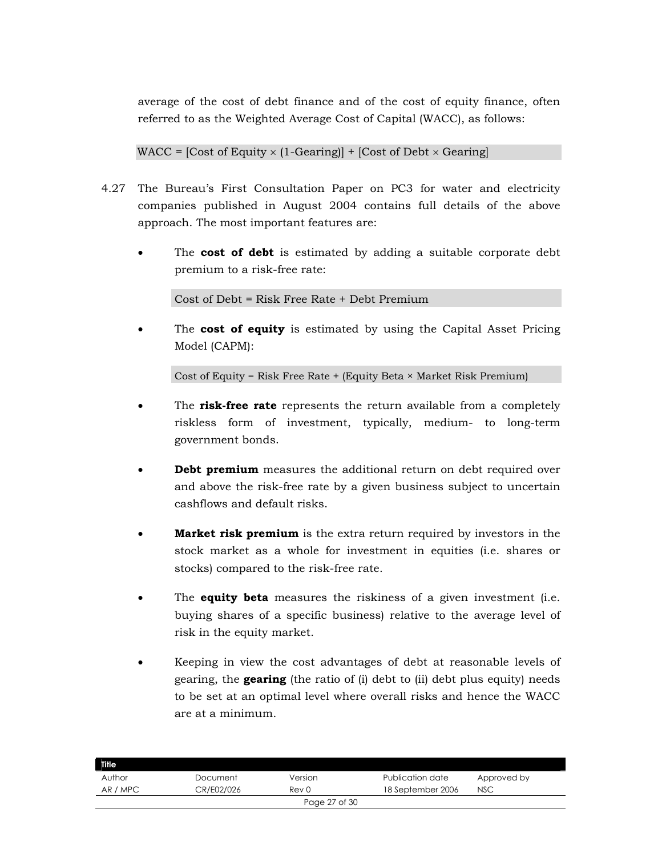average of the cost of debt finance and of the cost of equity finance, often referred to as the Weighted Average Cost of Capital (WACC), as follows:

WACC =  $[Cost of Equity \times (1-Gearing)] + [Cost of Debt \times Gearing]$ 

- 4.27 The Bureau's First Consultation Paper on PC3 for water and electricity companies published in August 2004 contains full details of the above approach. The most important features are:
	- The **cost of debt** is estimated by adding a suitable corporate debt premium to a risk-free rate:

Cost of Debt = Risk Free Rate + Debt Premium

• The **cost of equity** is estimated by using the Capital Asset Pricing Model (CAPM):

Cost of Equity = Risk Free Rate + (Equity Beta  $\times$  Market Risk Premium)

- The **risk-free rate** represents the return available from a completely riskless form of investment, typically, medium- to long-term government bonds.
- **Debt premium** measures the additional return on debt required over and above the risk-free rate by a given business subject to uncertain cashflows and default risks.
- **Market risk premium** is the extra return required by investors in the stock market as a whole for investment in equities (i.e. shares or stocks) compared to the risk-free rate.
- The **equity beta** measures the riskiness of a given investment (i.e. buying shares of a specific business) relative to the average level of risk in the equity market.
- Keeping in view the cost advantages of debt at reasonable levels of gearing, the **gearing** (the ratio of (i) debt to (ii) debt plus equity) needs to be set at an optimal level where overall risks and hence the WACC are at a minimum.

| <b>Title</b> |            |               |                   |             |
|--------------|------------|---------------|-------------------|-------------|
| Author       | Document   | Version       | Publication date  | Approved by |
| AR / MPC     | CR/E02/026 | Rev 0         | 18 September 2006 | <b>NSC</b>  |
|              |            | Page 27 of 30 |                   |             |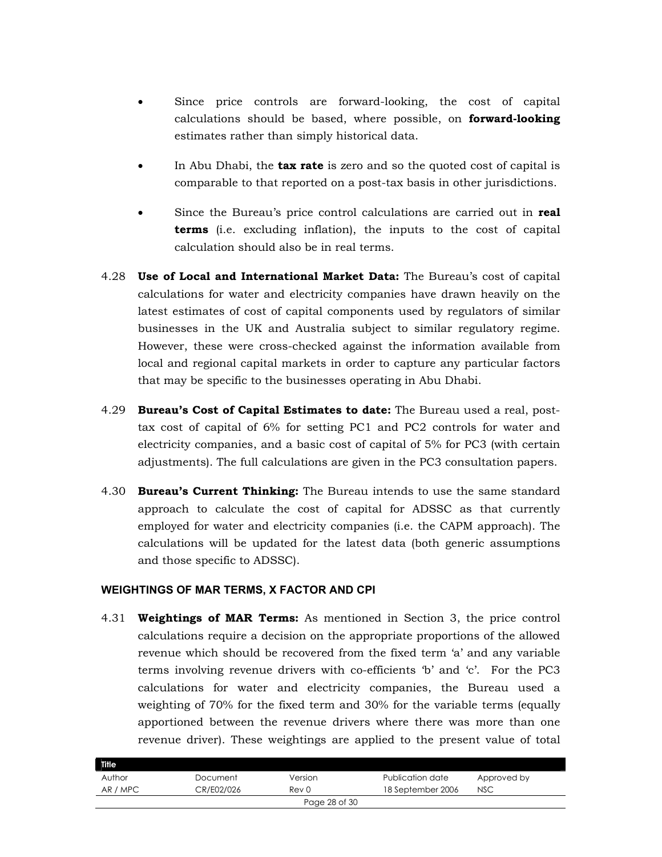- Since price controls are forward-looking, the cost of capital calculations should be based, where possible, on **forward-looking** estimates rather than simply historical data.
- In Abu Dhabi, the **tax rate** is zero and so the quoted cost of capital is comparable to that reported on a post-tax basis in other jurisdictions.
- Since the Bureau's price control calculations are carried out in **real terms** (i.e. excluding inflation), the inputs to the cost of capital calculation should also be in real terms.
- 4.28 **Use of Local and International Market Data:** The Bureau's cost of capital calculations for water and electricity companies have drawn heavily on the latest estimates of cost of capital components used by regulators of similar businesses in the UK and Australia subject to similar regulatory regime. However, these were cross-checked against the information available from local and regional capital markets in order to capture any particular factors that may be specific to the businesses operating in Abu Dhabi.
- 4.29 **Bureau's Cost of Capital Estimates to date:** The Bureau used a real, posttax cost of capital of 6% for setting PC1 and PC2 controls for water and electricity companies, and a basic cost of capital of 5% for PC3 (with certain adjustments). The full calculations are given in the PC3 consultation papers.
- 4.30 **Bureau's Current Thinking:** The Bureau intends to use the same standard approach to calculate the cost of capital for ADSSC as that currently employed for water and electricity companies (i.e. the CAPM approach). The calculations will be updated for the latest data (both generic assumptions and those specific to ADSSC).

#### **WEIGHTINGS OF MAR TERMS, X FACTOR AND CPI**

4.31 **Weightings of MAR Terms:** As mentioned in Section 3, the price control calculations require a decision on the appropriate proportions of the allowed revenue which should be recovered from the fixed term 'a' and any variable terms involving revenue drivers with co-efficients 'b' and 'c'. For the PC3 calculations for water and electricity companies, the Bureau used a weighting of 70% for the fixed term and 30% for the variable terms (equally apportioned between the revenue drivers where there was more than one revenue driver). These weightings are applied to the present value of total

| Title    |            |               |                   |             |  |
|----------|------------|---------------|-------------------|-------------|--|
| Author   | Document   | Version       | Publication date  | Approved by |  |
| AR / MPC | CR/E02/026 | Rev 0         | 18 September 2006 | <b>NSC</b>  |  |
|          |            | Page 28 of 30 |                   |             |  |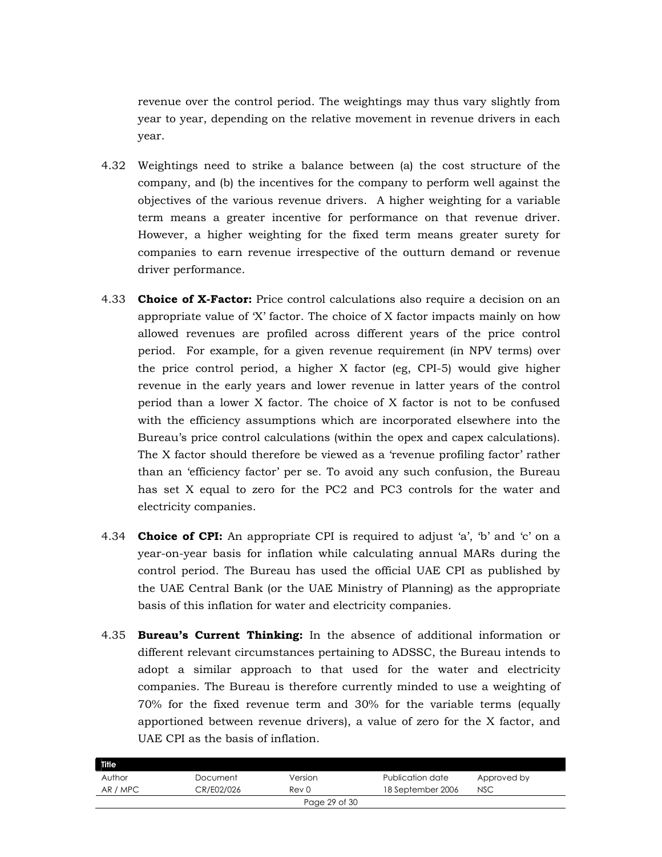revenue over the control period. The weightings may thus vary slightly from year to year, depending on the relative movement in revenue drivers in each year.

- 4.32 Weightings need to strike a balance between (a) the cost structure of the company, and (b) the incentives for the company to perform well against the objectives of the various revenue drivers. A higher weighting for a variable term means a greater incentive for performance on that revenue driver. However, a higher weighting for the fixed term means greater surety for companies to earn revenue irrespective of the outturn demand or revenue driver performance.
- 4.33 **Choice of X-Factor:** Price control calculations also require a decision on an appropriate value of 'X' factor. The choice of X factor impacts mainly on how allowed revenues are profiled across different years of the price control period. For example, for a given revenue requirement (in NPV terms) over the price control period, a higher X factor (eg, CPI-5) would give higher revenue in the early years and lower revenue in latter years of the control period than a lower X factor. The choice of X factor is not to be confused with the efficiency assumptions which are incorporated elsewhere into the Bureau's price control calculations (within the opex and capex calculations). The X factor should therefore be viewed as a 'revenue profiling factor' rather than an 'efficiency factor' per se. To avoid any such confusion, the Bureau has set X equal to zero for the PC2 and PC3 controls for the water and electricity companies.
- 4.34 **Choice of CPI:** An appropriate CPI is required to adjust 'a', 'b' and 'c' on a year-on-year basis for inflation while calculating annual MARs during the control period. The Bureau has used the official UAE CPI as published by the UAE Central Bank (or the UAE Ministry of Planning) as the appropriate basis of this inflation for water and electricity companies.
- 4.35 **Bureau's Current Thinking:** In the absence of additional information or different relevant circumstances pertaining to ADSSC, the Bureau intends to adopt a similar approach to that used for the water and electricity companies. The Bureau is therefore currently minded to use a weighting of 70% for the fixed revenue term and 30% for the variable terms (equally apportioned between revenue drivers), a value of zero for the X factor, and UAE CPI as the basis of inflation.

| Title    |            |               |                   |             |  |
|----------|------------|---------------|-------------------|-------------|--|
| Author   | Document   | Version       | Publication date  | Approved by |  |
| AR / MPC | CR/E02/026 | Rev 0         | 18 September 2006 | <b>NSC</b>  |  |
|          |            | Page 29 of 30 |                   |             |  |